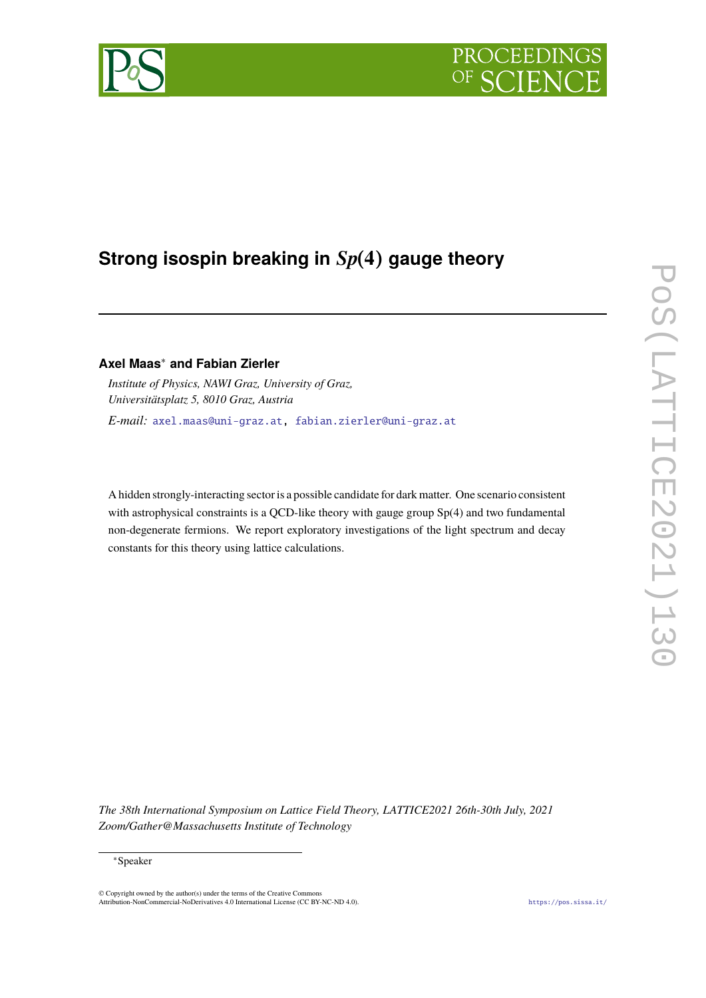

# **Strong isospin breaking in**  $Sp(4)$  gauge theory

## **Axel Maas**<sup>∗</sup> **and Fabian Zierler**

*Institute of Physics, NAWI Graz, University of Graz, Universitätsplatz 5, 8010 Graz, Austria E-mail:* [axel.maas@uni-graz.at,](mailto:axel.maas@uni-graz.at) [fabian.zierler@uni-graz.at](mailto:fabian.zierler@uni-graz.at)

A hidden strongly-interacting sector is a possible candidate for dark matter. One scenario consistent with astrophysical constraints is a QCD-like theory with gauge group Sp(4) and two fundamental non-degenerate fermions. We report exploratory investigations of the light spectrum and decay constants for this theory using lattice calculations.

*The 38th International Symposium on Lattice Field Theory, LATTICE2021 26th-30th July, 2021 Zoom/Gather@Massachusetts Institute of Technology*

© Copyright owned by the author(s) under the terms of the Creative Commons Attribution-NonCommercial-NoDerivatives 4.0 International License (CC BY-NC-ND 4.0). <https://pos.sissa.it/>

<sup>∗</sup>Speaker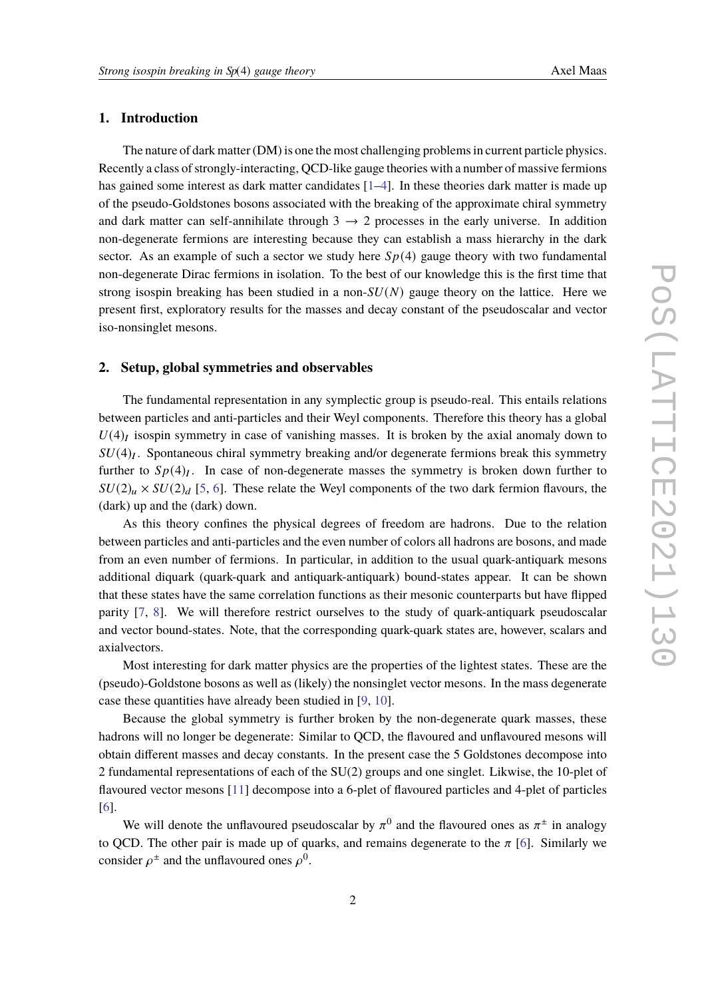### **1. Introduction**

The nature of dark matter (DM) is one the most challenging problems in current particle physics. Recently a class of strongly-interacting, QCD-like gauge theories with a number of massive fermions has gained some interest as dark matter candidates [\[1–](#page-5-0)[4\]](#page-5-1). In these theories dark matter is made up of the pseudo-Goldstones bosons associated with the breaking of the approximate chiral symmetry and dark matter can self-annihilate through  $3 \rightarrow 2$  processes in the early universe. In addition non-degenerate fermions are interesting because they can establish a mass hierarchy in the dark sector. As an example of such a sector we study here  $Sp(4)$  gauge theory with two fundamental non-degenerate Dirac fermions in isolation. To the best of our knowledge this is the first time that strong isospin breaking has been studied in a non- $SU(N)$  gauge theory on the lattice. Here we present first, exploratory results for the masses and decay constant of the pseudoscalar and vector iso-nonsinglet mesons.

#### **2. Setup, global symmetries and observables**

The fundamental representation in any symplectic group is pseudo-real. This entails relations between particles and anti-particles and their Weyl components. Therefore this theory has a global  $U(4)_I$  isospin symmetry in case of vanishing masses. It is broken by the axial anomaly down to  $SU(4)_I$ . Spontaneous chiral symmetry breaking and/or degenerate fermions break this symmetry further to  $Sp(4)_I$ . In case of non-degenerate masses the symmetry is broken down further to  $SU(2)_\mu \times SU(2)_d$  [\[5,](#page-6-0) [6\]](#page-6-1). These relate the Weyl components of the two dark fermion flavours, the (dark) up and the (dark) down.

As this theory confines the physical degrees of freedom are hadrons. Due to the relation between particles and anti-particles and the even number of colors all hadrons are bosons, and made from an even number of fermions. In particular, in addition to the usual quark-antiquark mesons additional diquark (quark-quark and antiquark-antiquark) bound-states appear. It can be shown that these states have the same correlation functions as their mesonic counterparts but have flipped parity [\[7,](#page-6-2) [8\]](#page-6-3). We will therefore restrict ourselves to the study of quark-antiquark pseudoscalar and vector bound-states. Note, that the corresponding quark-quark states are, however, scalars and axialvectors.

Most interesting for dark matter physics are the properties of the lightest states. These are the (pseudo)-Goldstone bosons as well as (likely) the nonsinglet vector mesons. In the mass degenerate case these quantities have already been studied in [\[9,](#page-6-4) [10\]](#page-6-5).

Because the global symmetry is further broken by the non-degenerate quark masses, these hadrons will no longer be degenerate: Similar to QCD, the flavoured and unflavoured mesons will obtain different masses and decay constants. In the present case the 5 Goldstones decompose into 2 fundamental representations of each of the SU(2) groups and one singlet. Likwise, the 10-plet of flavoured vector mesons [\[11\]](#page-6-6) decompose into a 6-plet of flavoured particles and 4-plet of particles [\[6\]](#page-6-1).

We will denote the unflavoured pseudoscalar by  $\pi^0$  and the flavoured ones as  $\pi^{\pm}$  in analogy to QCD. The other pair is made up of quarks, and remains degenerate to the  $\pi$  [\[6\]](#page-6-1). Similarly we consider  $\rho^{\pm}$  and the unflavoured ones  $\rho^{0}$ .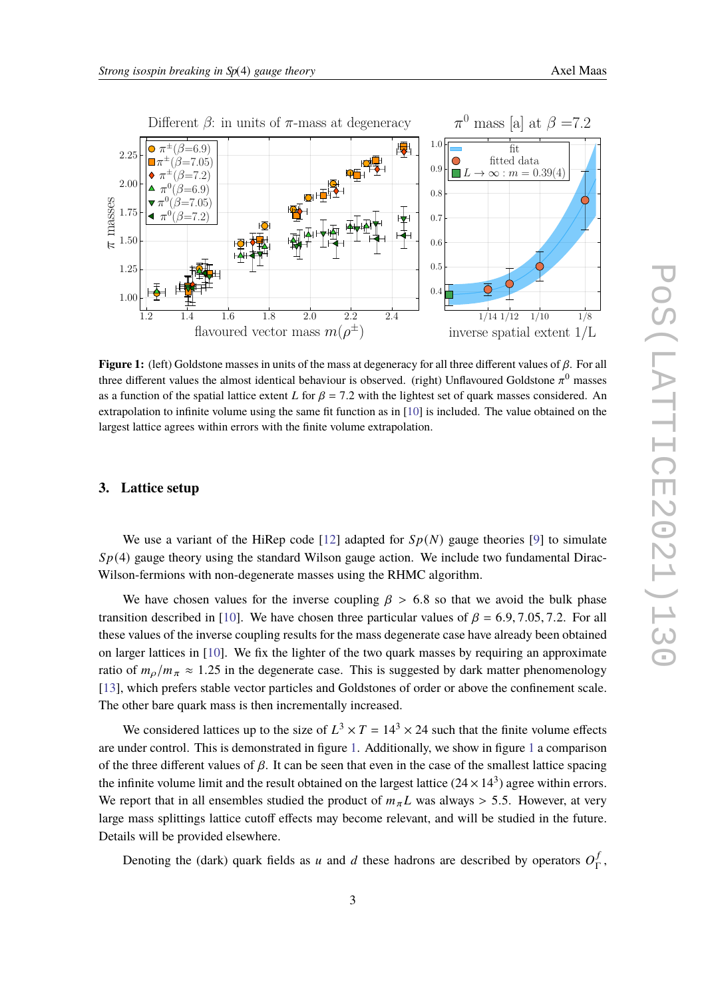<span id="page-2-0"></span>

**Figure 1:** (left) Goldstone masses in units of the mass at degeneracy for all three different values of  $\beta$ . For all three different values the almost identical behaviour is observed. (right) Unflavoured Goldstone  $\pi^0$  masses as a function of the spatial lattice extent L for  $\beta = 7.2$  with the lightest set of quark masses considered. An extrapolation to infinite volume using the same fit function as in [\[10\]](#page-6-5) is included. The value obtained on the largest lattice agrees within errors with the finite volume extrapolation.

#### **3. Lattice setup**

We use a variant of the HiRep code [\[12\]](#page-6-7) adapted for  $Sp(N)$  gauge theories [\[9\]](#page-6-4) to simulate  $Sp(4)$  gauge theory using the standard Wilson gauge action. We include two fundamental Dirac-Wilson-fermions with non-degenerate masses using the RHMC algorithm.

We have chosen values for the inverse coupling  $\beta > 6.8$  so that we avoid the bulk phase transition described in [\[10\]](#page-6-5). We have chosen three particular values of  $\beta = 6.9, 7.05, 7.2$ . For all these values of the inverse coupling results for the mass degenerate case have already been obtained on larger lattices in [\[10\]](#page-6-5). We fix the lighter of the two quark masses by requiring an approximate ratio of  $m_o/m_\pi \approx 1.25$  in the degenerate case. This is suggested by dark matter phenomenology [\[13\]](#page-6-8), which prefers stable vector particles and Goldstones of order or above the confinement scale. The other bare quark mass is then incrementally increased.

We considered lattices up to the size of  $L^3 \times T = 14^3 \times 24$  such that the finite volume effects are under control. This is demonstrated in figure [1.](#page-2-0) Additionally, we show in figure [1](#page-2-0) a comparison of the three different values of  $\beta$ . It can be seen that even in the case of the smallest lattice spacing the infinite volume limit and the result obtained on the largest lattice (24  $\times$  14<sup>3</sup>) agree within errors. We report that in all ensembles studied the product of  $m_{\pi}L$  was always > 5.5. However, at very large mass splittings lattice cutoff effects may become relevant, and will be studied in the future. Details will be provided elsewhere.

Denoting the (dark) quark fields as u and d these hadrons are described by operators  $O_{\mathsf{T}}^f$ Γ ,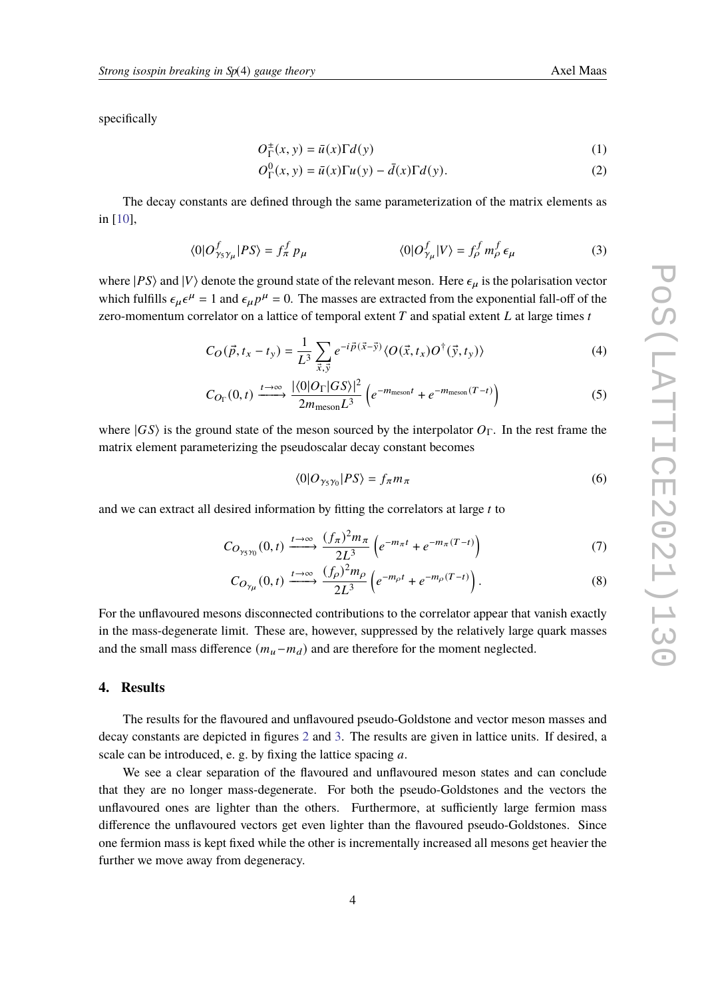specifically

$$
O_{\Gamma}^{\pm}(x, y) = \bar{u}(x)\Gamma d(y) \tag{1}
$$

$$
O_{\Gamma}^{0}(x, y) = \bar{u}(x)\Gamma u(y) - \bar{d}(x)\Gamma d(y).
$$
 (2)

The decay constants are defined through the same parameterization of the matrix elements as in [\[10\]](#page-6-5),

$$
\langle 0|O_{\gamma_5\gamma_\mu}^f|PS\rangle = f_\pi^f p_\mu \qquad \langle 0|O_{\gamma_\mu}^f|V\rangle = f_\rho^f m_\rho^f \epsilon_\mu \qquad (3)
$$

where  $|PS\rangle$  and  $|V\rangle$  denote the ground state of the relevant meson. Here  $\epsilon_{\mu}$  is the polarisation vector which fulfills  $\epsilon_{\mu} \epsilon^{\mu} = 1$  and  $\epsilon_{\mu} p^{\mu} = 0$ . The masses are extracted from the exponential fall-off of the zero-momentum correlator on a lattice of temporal extent  $T$  and spatial extent  $L$  at large times  $t$ 

$$
C_O(\vec{p}, t_x - t_y) = \frac{1}{L^3} \sum_{\vec{x}, \vec{y}} e^{-i\vec{p}(\vec{x} - \vec{y})} \langle O(\vec{x}, t_x) O^{\dagger}(\vec{y}, t_y) \rangle
$$
(4)

$$
C_{O_{\Gamma}}(0,t) \xrightarrow{t \to \infty} \frac{|\langle 0|O_{\Gamma}|GS\rangle|^2}{2m_{\text{meson}}L^3} \left(e^{-m_{\text{meson}}t} + e^{-m_{\text{meson}}(T-t)}\right)
$$
(5)

where  $|GS\rangle$  is the ground state of the meson sourced by the interpolator  $O_\Gamma$ . In the rest frame the matrix element parameterizing the pseudoscalar decay constant becomes

$$
\langle 0|O_{\gamma_5\gamma_0}|PS\rangle = f_{\pi}m_{\pi} \tag{6}
$$

and we can extract all desired information by fitting the correlators at large  $t$  to

$$
C_{O_{\gamma_5\gamma_0}}(0,t) \xrightarrow{t \to \infty} \frac{(f_\pi)^2 m_\pi}{2L^3} \left( e^{-m_\pi t} + e^{-m_\pi (T-t)} \right)
$$
 (7)

$$
C_{O_{\gamma\mu}}(0,t) \xrightarrow{t \to \infty} \frac{(f_{\rho})^2 m_{\rho}}{2L^3} \left(e^{-m_{\rho}t} + e^{-m_{\rho}(T-t)}\right).
$$
 (8)

For the unflavoured mesons disconnected contributions to the correlator appear that vanish exactly in the mass-degenerate limit. These are, however, suppressed by the relatively large quark masses and the small mass difference  $(m_u - m_d)$  and are therefore for the moment neglected.

#### **4. Results**

The results for the flavoured and unflavoured pseudo-Goldstone and vector meson masses and decay constants are depicted in figures [2](#page-4-0) and [3.](#page-4-1) The results are given in lattice units. If desired, a scale can be introduced, e. g. by fixing the lattice spacing  $a$ .

We see a clear separation of the flavoured and unflavoured meson states and can conclude that they are no longer mass-degenerate. For both the pseudo-Goldstones and the vectors the unflavoured ones are lighter than the others. Furthermore, at sufficiently large fermion mass difference the unflavoured vectors get even lighter than the flavoured pseudo-Goldstones. Since one fermion mass is kept fixed while the other is incrementally increased all mesons get heavier the further we move away from degeneracy.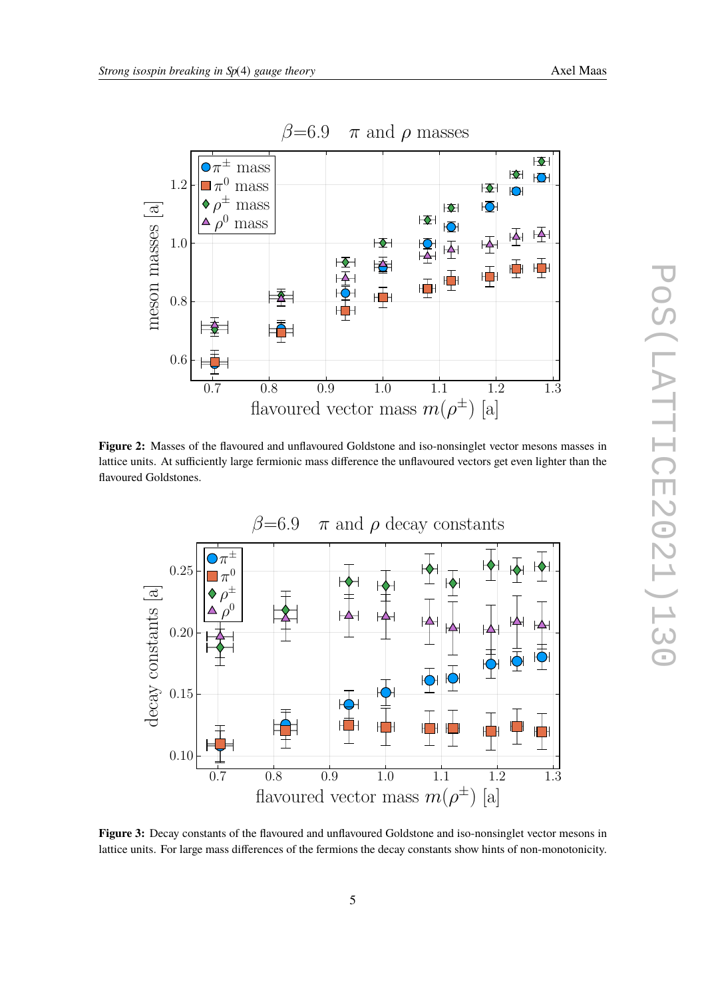<span id="page-4-0"></span>

**Figure 2:** Masses of the flavoured and unflavoured Goldstone and iso-nonsinglet vector mesons masses in lattice units. At sufficiently large fermionic mass difference the unflavoured vectors get even lighter than the flavoured Goldstones.

<span id="page-4-1"></span>

**Figure 3:** Decay constants of the flavoured and unflavoured Goldstone and iso-nonsinglet vector mesons in lattice units. For large mass differences of the fermions the decay constants show hints of non-monotonicity.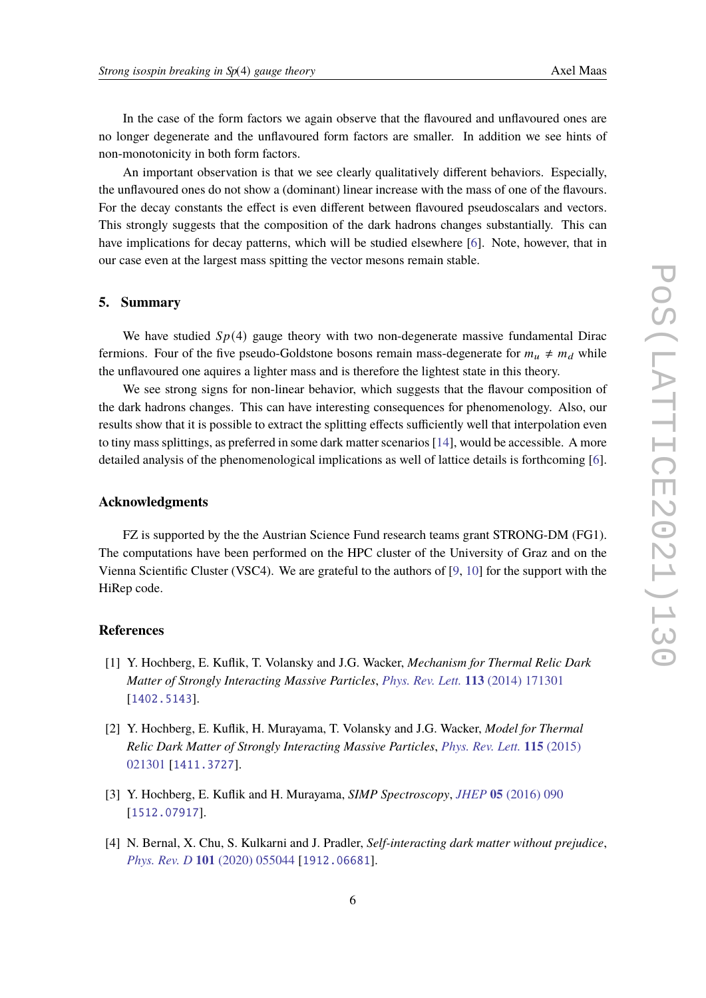In the case of the form factors we again observe that the flavoured and unflavoured ones are no longer degenerate and the unflavoured form factors are smaller. In addition we see hints of non-monotonicity in both form factors.

An important observation is that we see clearly qualitatively different behaviors. Especially, the unflavoured ones do not show a (dominant) linear increase with the mass of one of the flavours. For the decay constants the effect is even different between flavoured pseudoscalars and vectors. This strongly suggests that the composition of the dark hadrons changes substantially. This can have implications for decay patterns, which will be studied elsewhere [\[6\]](#page-6-1). Note, however, that in our case even at the largest mass spitting the vector mesons remain stable.

#### **5. Summary**

We have studied  $Sp(4)$  gauge theory with two non-degenerate massive fundamental Dirac fermions. Four of the five pseudo-Goldstone bosons remain mass-degenerate for  $m_u \neq m_d$  while the unflavoured one aquires a lighter mass and is therefore the lightest state in this theory.

We see strong signs for non-linear behavior, which suggests that the flavour composition of the dark hadrons changes. This can have interesting consequences for phenomenology. Also, our results show that it is possible to extract the splitting effects sufficiently well that interpolation even to tiny mass splittings, as preferred in some dark matter scenarios [\[14\]](#page-6-9), would be accessible. A more detailed analysis of the phenomenological implications as well of lattice details is forthcoming [\[6\]](#page-6-1).

#### **Acknowledgments**

FZ is supported by the the Austrian Science Fund research teams grant STRONG-DM (FG1). The computations have been performed on the HPC cluster of the University of Graz and on the Vienna Scientific Cluster (VSC4). We are grateful to the authors of [\[9,](#page-6-4) [10\]](#page-6-5) for the support with the HiRep code.

#### **References**

- <span id="page-5-0"></span>[1] Y. Hochberg, E. Kuflik, T. Volansky and J.G. Wacker, *Mechanism for Thermal Relic Dark Matter of Strongly Interacting Massive Particles*, *[Phys. Rev. Lett.](https://doi.org/10.1103/PhysRevLett.113.171301)* **113** (2014) 171301 [[1402.5143](https://arxiv.org/abs/1402.5143)].
- [2] Y. Hochberg, E. Kuflik, H. Murayama, T. Volansky and J.G. Wacker, *Model for Thermal Relic Dark Matter of Strongly Interacting Massive Particles*, *[Phys. Rev. Lett.](https://doi.org/10.1103/PhysRevLett.115.021301)* **115** (2015) [021301](https://doi.org/10.1103/PhysRevLett.115.021301) [[1411.3727](https://arxiv.org/abs/1411.3727)].
- [3] Y. Hochberg, E. Kuflik and H. Murayama, *SIMP Spectroscopy*, *JHEP* **05** [\(2016\) 090](https://doi.org/10.1007/JHEP05(2016)090) [[1512.07917](https://arxiv.org/abs/1512.07917)].
- <span id="page-5-1"></span>[4] N. Bernal, X. Chu, S. Kulkarni and J. Pradler, *Self-interacting dark matter without prejudice*, *Phys. Rev. D* **101** [\(2020\) 055044](https://doi.org/10.1103/PhysRevD.101.055044) [[1912.06681](https://arxiv.org/abs/1912.06681)].